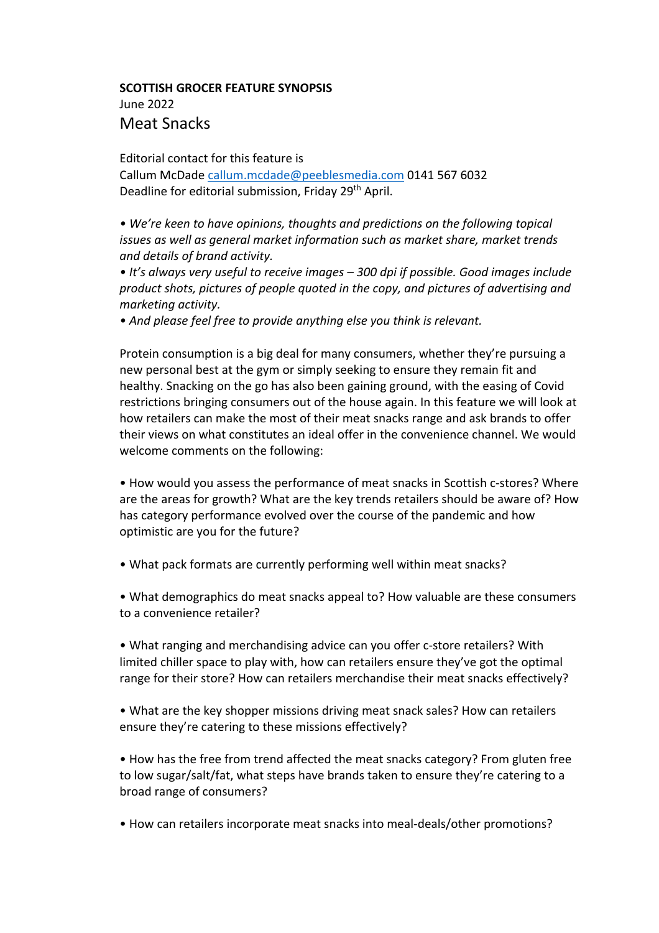## **SCOTTISH GROCER FEATURE SYNOPSIS** June 2022 Meat Snacks

Editorial contact for this feature is

Callum McDade callum.mcdade@peeblesmedia.com 0141 567 6032 Deadline for editorial submission, Friday 29<sup>th</sup> April.

*• We're keen to have opinions, thoughts and predictions on the following topical issues as well as general market information such as market share, market trends and details of brand activity.*

*• It's always very useful to receive images – 300 dpi if possible. Good images include product shots, pictures of people quoted in the copy, and pictures of advertising and marketing activity.*

*• And please feel free to provide anything else you think is relevant.*

Protein consumption is a big deal for many consumers, whether they're pursuing a new personal best at the gym or simply seeking to ensure they remain fit and healthy. Snacking on the go has also been gaining ground, with the easing of Covid restrictions bringing consumers out of the house again. In this feature we will look at how retailers can make the most of their meat snacks range and ask brands to offer their views on what constitutes an ideal offer in the convenience channel. We would welcome comments on the following:

• How would you assess the performance of meat snacks in Scottish c-stores? Where are the areas for growth? What are the key trends retailers should be aware of? How has category performance evolved over the course of the pandemic and how optimistic are you for the future?

• What pack formats are currently performing well within meat snacks?

• What demographics do meat snacks appeal to? How valuable are these consumers to a convenience retailer?

• What ranging and merchandising advice can you offer c-store retailers? With limited chiller space to play with, how can retailers ensure they've got the optimal range for their store? How can retailers merchandise their meat snacks effectively?

• What are the key shopper missions driving meat snack sales? How can retailers ensure they're catering to these missions effectively?

• How has the free from trend affected the meat snacks category? From gluten free to low sugar/salt/fat, what steps have brands taken to ensure they're catering to a broad range of consumers?

• How can retailers incorporate meat snacks into meal-deals/other promotions?